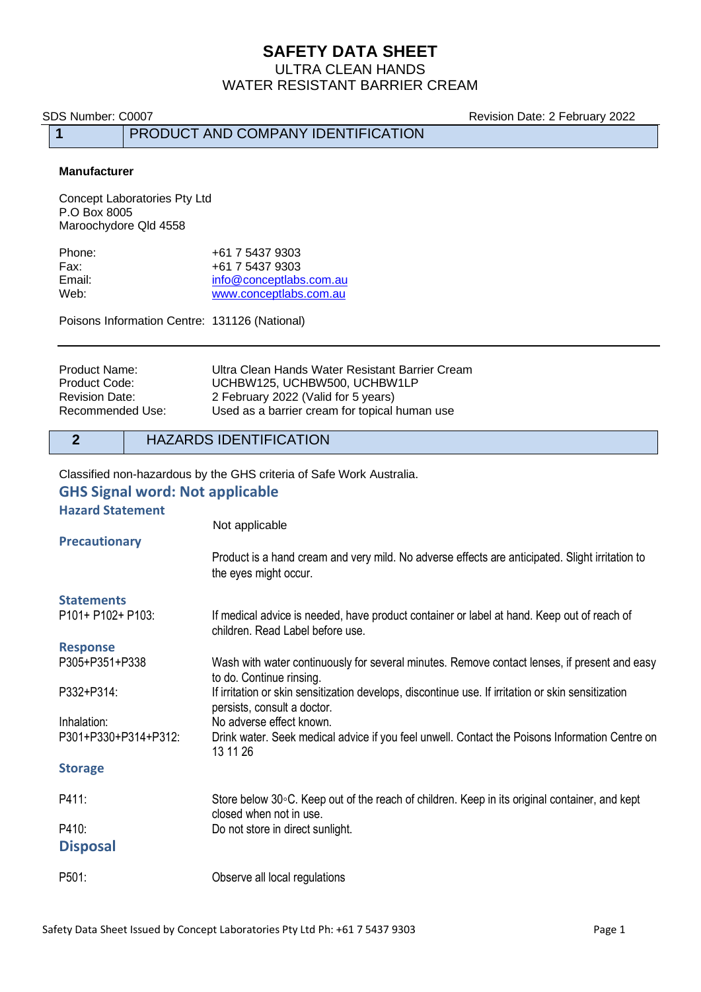# **SAFETY DATA SHEET**

ULTRA CLEAN HANDS WATER RESISTANT BARRIER CREAM

SDS Number: C0007 **Revision Date: 2 February 2022** 

## **1** PRODUCT AND COMPANY IDENTIFICATION

#### **Manufacturer**

Concept Laboratories Pty Ltd P.O Box 8005 Maroochydore Qld 4558

| Phone: | +61 7 5437 9303         |
|--------|-------------------------|
| Fax:   | +61 7 5437 9303         |
| Email: | info@conceptlabs.com.au |
| Web:   | www.conceptlabs.com.au  |

Poisons Information Centre: 131126 (National)

| Product Name:    | Ultra Clean Hands Water Resistant Barrier Cream |
|------------------|-------------------------------------------------|
| Product Code:    | UCHBW125, UCHBW500, UCHBW1LP                    |
| Revision Date:   | 2 February 2022 (Valid for 5 years)             |
| Recommended Use: | Used as a barrier cream for topical human use   |

## **2** HAZARDS IDENTIFICATION

Classified non-hazardous by the GHS criteria of Safe Work Australia.

#### **GHS Signal word: Not applicable**

#### **Hazard Statement**

|                      | Not applicable                                                                                                                    |
|----------------------|-----------------------------------------------------------------------------------------------------------------------------------|
| <b>Precautionary</b> |                                                                                                                                   |
|                      | Product is a hand cream and very mild. No adverse effects are anticipated. Slight irritation to<br>the eyes might occur.          |
| <b>Statements</b>    |                                                                                                                                   |
| P101+ P102+ P103:    | If medical advice is needed, have product container or label at hand. Keep out of reach of<br>children. Read Label before use.    |
| <b>Response</b>      |                                                                                                                                   |
| P305+P351+P338       | Wash with water continuously for several minutes. Remove contact lenses, if present and easy<br>to do. Continue rinsing.          |
| P332+P314:           | If irritation or skin sensitization develops, discontinue use. If irritation or skin sensitization<br>persists, consult a doctor. |
| Inhalation:          | No adverse effect known.                                                                                                          |
| P301+P330+P314+P312: | Drink water. Seek medical advice if you feel unwell. Contact the Poisons Information Centre on<br>13 11 26                        |
| <b>Storage</b>       |                                                                                                                                   |
| P411:                | Store below 30°C. Keep out of the reach of children. Keep in its original container, and kept<br>closed when not in use.          |
| P410:                | Do not store in direct sunlight.                                                                                                  |
| <b>Disposal</b>      |                                                                                                                                   |
| P501:                | Observe all local regulations                                                                                                     |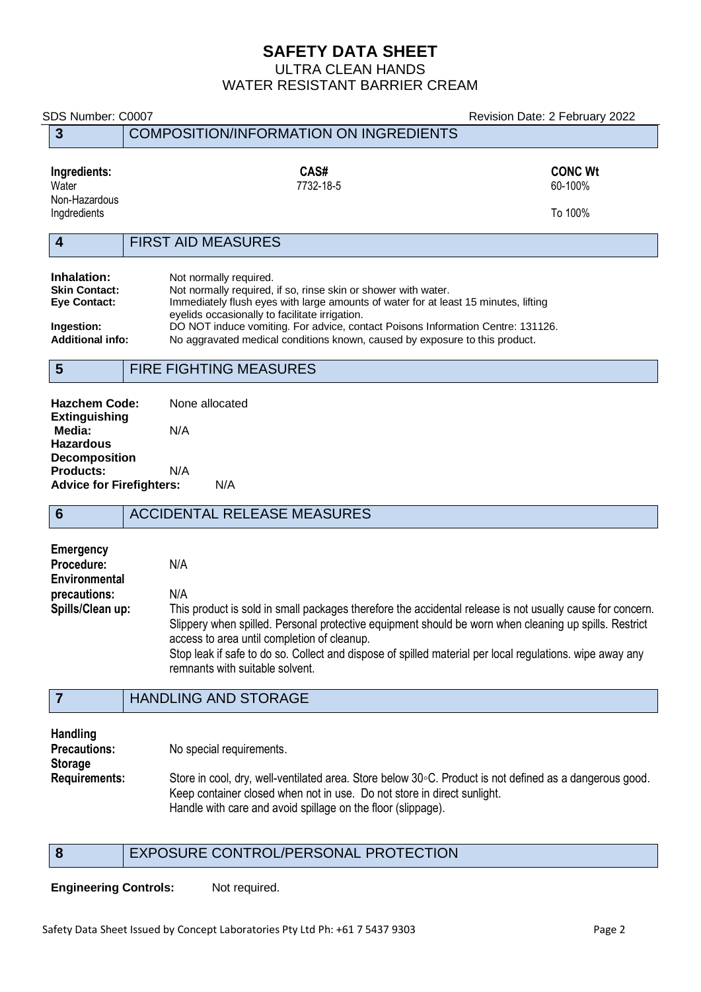# **SAFETY DATA SHEET**

ULTRA CLEAN HANDS WATER RESISTANT BARRIER CREAM

# SDS Number: C0007 Revision Date: 2 February 2022 **3** COMPOSITION/INFORMATION ON INGREDIENTS **Ingredients: CAS# CONC Wt** Water 60-100% (1990) 12-18-60-2007 12-2014 12-2015 12-2016 12-2016 12-2016 12-20 Non-Hazardous<br>Ingdredients Ingdredients To 100% **4** FIRST AID MEASURES **Inhalation:** Not normally required.<br> **Skin Contact:** Not normally required, **Skin Contact:** Not normally required, if so, rinse skin or shower with water.<br> **Eve Contact:** Immediately flush eves with large amounts of water for at lea Immediately flush eyes with large amounts of water for at least 15 minutes, lifting eyelids occasionally to facilitate irrigation. **Ingestion:** DO NOT induce vomiting. For advice, contact Poisons Information Centre: 131126. **Additional info:** No aggravated medical conditions known, caused by exposure to this product. **5** FIRE FIGHTING MEASURES **Hazchem Code:** None allocated **Extinguishing Media:** N/A **Hazardous Decomposition Products:** N/A **Advice for Firefighters:** N/A **6** ACCIDENTAL RELEASE MEASURES **Emergency Procedure:** N/A **Environmental precautions:** N/A **Spills/Clean up:** This product is sold in small packages therefore the accidental release is not usually cause for concern. Slippery when spilled. Personal protective equipment should be worn when cleaning up spills. Restrict access to area until completion of cleanup. Stop leak if safe to do so. Collect and dispose of spilled material per local regulations. wipe away any remnants with suitable solvent. **7** HANDLING AND STORAGE **Handling Precautions:** No special requirements. **Storage Requirements:** Store in cool, dry, well-ventilated area. Store below 30◦C. Product is not defined as a dangerous good. Keep container closed when not in use. Do not store in direct sunlight. Handle with care and avoid spillage on the floor (slippage).

## **8** EXPOSURE CONTROL/PERSONAL PROTECTION

**Engineering Controls:** Not required.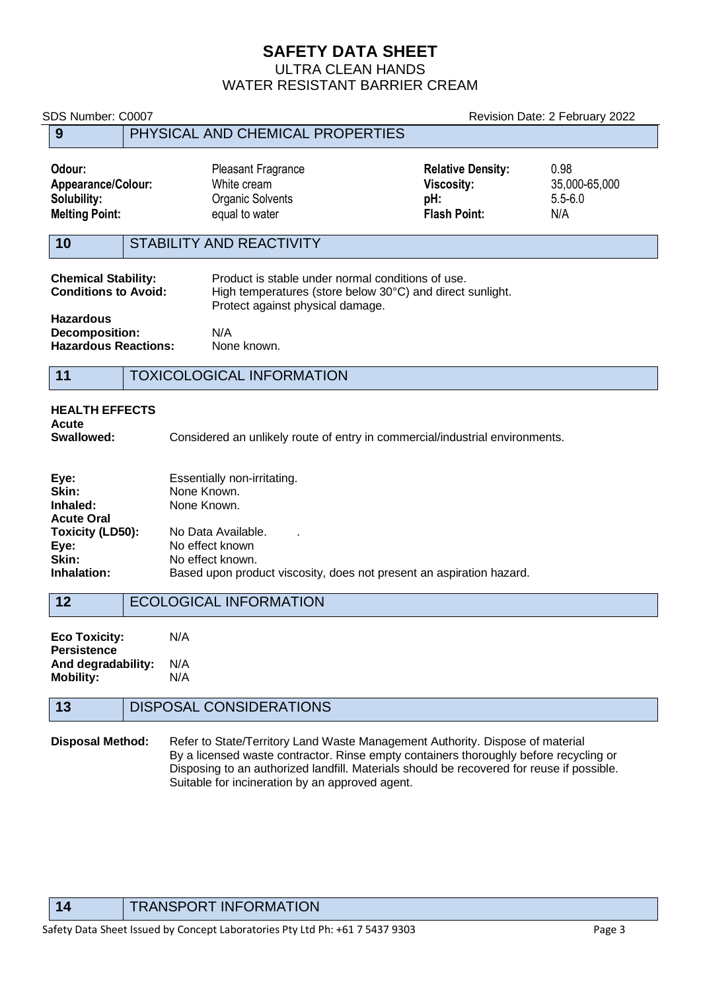# **SAFETY DATA SHEET**

ULTRA CLEAN HANDS

# WATER RESISTANT BARRIER CREAM

SDS Number: C0007 Revision Date: 2 February 2022

# **9** PHYSICAL AND CHEMICAL PROPERTIES **Odour:** Pleasant Fragrance **Relative Density:** 0.98 **Appearance/Colour:** White cream **Viscosity:** 35,000-65,000 **Solubility: pH:** 5.5-6.0<br> **Solubility:** 6.5-6.0<br> **Melting Point: pH:** 5.5-6.0<br> **Melting Point:** 6.5-6.0 **Melting Point: Example 2018** Construction of the equal to water **Flash Point:** N/A **10** STABILITY AND REACTIVITY **Chemical Stability:** Product is stable under normal conditions of use.<br>**Conditions to Avoid:** High temperatures (store below 30°C) and direct High temperatures (store below 30°C) and direct sunlight. Protect against physical damage. **Hazardous Decomposition:** N/A **Hazardous Reactions:** None known. **11** TOXICOLOGICAL INFORMATION **HEALTH EFFECTS** Acute<br>Swallowed: **Swallowed:** Considered an unlikely route of entry in commercial/industrial environments. **Eye:** Essentially non-irritating.<br> **Skin:** None Known. None Known. **Inhaled:** None Known. **Acute Oral Toxicity (LD50):** No Data Available. . **Eye:** No effect known **Skin:** No effect known.<br> **Inhalation:** Based upon prod Based upon product viscosity, does not present an aspiration hazard. 12 **ECOLOGICAL INFORMATION**

| <b>Eco Toxicity:</b> | N/A |
|----------------------|-----|
| <b>Persistence</b>   |     |
| And degradability:   | N/A |
| <b>Mobility:</b>     | N/A |
|                      |     |

# **13** DISPOSAL CONSIDERATIONS

**Disposal Method:** Refer to State/Territory Land Waste Management Authority. Dispose of material By a licensed waste contractor. Rinse empty containers thoroughly before recycling or Disposing to an authorized landfill. Materials should be recovered for reuse if possible. Suitable for incineration by an approved agent.

**14** TRANSPORT INFORMATION